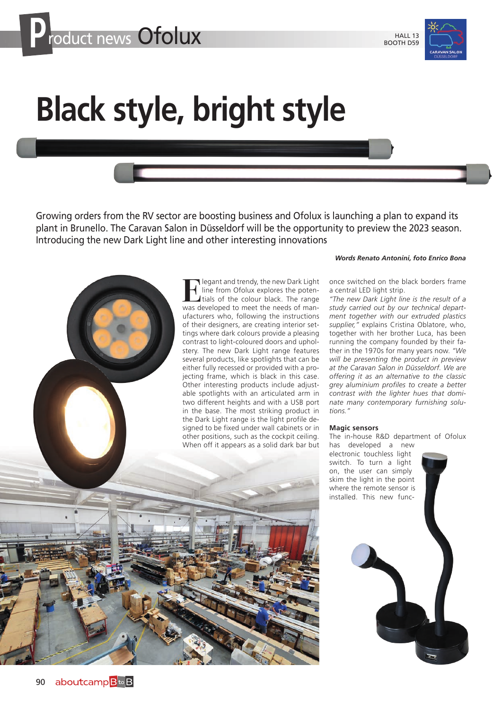

## **Black style, bright style**

Growing orders from the RV sector are boosting business and Ofolux is launching a plan to expand its plant in Brunello. The Caravan Salon in Düsseldorf will be the opportunity to preview the 2023 season. Introducing the new Dark Light line and other interesting innovations

> **Example 1** legant and trendy, the new Dark Light<br>line from Ofolux explores the poten-<br>tials of the colour black. The range<br>was developed to meet the needs of manline from Ofolux explores the potentials of the colour black. The range was developed to meet the needs of manufacturers who, following the instructions of their designers, are creating interior settings where dark colours provide a pleasing contrast to light-coloured doors and upholstery. The new Dark Light range features several products, like spotlights that can be either fully recessed or provided with a projecting frame, which is black in this case. Other interesting products include adjustable spotlights with an articulated arm in two different heights and with a USB port in the base. The most striking product in the Dark Light range is the light profile designed to be fixed under wall cabinets or in other positions, such as the cockpit ceiling. When off it appears as a solid dark bar but

## *Words Renato Antonini, foto Enrico Bona*

once switched on the black borders frame a central LED light strip.

*"The new Dark Light line is the result of a study carried out by our technical department together with our extruded plastics supplier,"* explains Cristina Oblatore, who, together with her brother Luca, has been running the company founded by their father in the 1970s for many years now. *"We will be presenting the product in preview at the Caravan Salon in Düsseldorf. We are offering it as an alternative to the classic grey aluminium profiles to create a better contrast with the lighter hues that dominate many contemporary furnishing solutions."*

## **Magic sensors**

The in-house R&D department of Ofolux